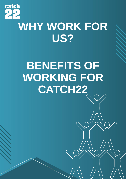

## **WHY WORK FOR US?**

# **BENEFITS OF WORKING FOR CATCH22**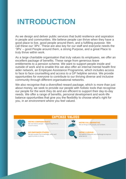## **INTRODUCTION**

As we design and deliver public services that build resilience and aspiration in people and communities. We believe people can thrive when they have a good place to live, good people around them, and a fulfilling purpose. We call these our '3Ps'. These are also key for our staff and everyone needs the '3Ps' – good People around them, a strong Purpose, and a great Place to truly thrive within work.

As a large charitable organisation that truly values its employees, we offer an excellent package of benefits. These range from generous leave entitlements to a pension scheme. We want to support people inside and outside of work and to enable this we also offer an internal mental health first aider network, an Employee Assistance Programme, which includes access to face to face counselling and access to a GP helpline service. We provide opportunities for everyone to contribute to our thriving diverse and inclusive community through different organisational networks.

We also recognise that a diversified reward package, which is more than just about money, we seek to provide our people with holistic tools that recognise our people for the work they do and are efficient to support their day-to-day needs. We offer a range of benefits, personal development and work-life balance opportunities that give you the flexibility to choose what's right for you, in an environment where you feel valued.

#### **CATCH22 VALUES WE'RE COMPASSIONATE: WE'RE COLLABORATIVE:** We care about people - supporting them to We do things with people, not to them. move forward. **WE EMPOWER OTHERS: WE'RE CURIOUS:** We give people the knowledge, skills and We explore, innovate and challenge to improve opportunities to thrive. what we do.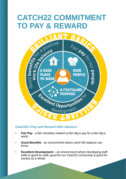# **CATCH22 COMMITMENT**



#### **Catch22's Pay and Reward offer delivers:-**

- **Fair Pay**  a fair monetary reward (a fair day's pay for a fair day's work)
- **Good Benefits**  an environment where work/ life balance can thrive
- **Excellent Development**  an environment where developing staff skills is good for staff, good for our Catch22 community & good for society as a whole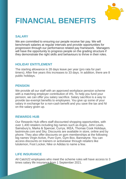

## **FINANCIAL BENEFITS**

#### **SALARY**

We are committed to ensuring our people receive fair pay. We will benchmark salaries at regular intervals and provide opportunities for progression through our performance related pay framework. Managers will have the opportunity to progress people on the grading structure if they demonstrate the right skills and behaviours to thrive in their roles.

#### **HOLIDAY ENTITLEMENT**

The starting allowance is 28 days leave per year (pro rata for part timers). After five years this increases to 33 days. In addition, there are 8 public holidays.

#### **PENSION**

We provide all our staff with an approved workplace pension scheme with a matching employer contribution of 4%. To help you fund your pension, we can offer you salary sacrifice. Salary sacrifice is a way to provide tax-exempt benefits to employees. You give up some of your salary in exchange for a non-cash benefit and you save the tax and NI on the salary given up.

#### **REWARDS HUB**

Our Rewards Hub offers staff discounted shopping opportunities, with over 1,400 retailers including big names such as Argos, John Lewis, Sainsbury's, Marks & Spencer, Currys, IKEA, Thomas Cook Holidays, lastminute.com and Sky. Discounts are available in store, online and by phone. They also offer discounts on gym memberships at the following big names Virgin Active, Pure Gym, Gym Box, Bannatyne. You can access discounts on trainers or activewear through retailers like lululemon, Foot Locker, Nike or Adidas to name a few.

#### **LIFE INSURANCE**

All Catch22 employees who meet the scheme rules will have access to 3 times salary life insurance from 1 September 2021.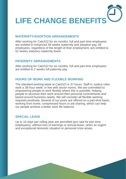

#### **MATERNITY/ADOPTION ARRANGEMENTS**

After working for Catch22 for six months, full and part-time employees are entitled to enhanced 39 weeks maternity and adoption pay. All employees, regardless of the length of their employment, are entitled to 52 weeks statutory maternity leave.

#### **PATERNITY ARRANGEMENTS**

After working for Catch22 for six months, full and part time employees are entitled to 2 weeks full paternity pay.

#### **HOURS OF WORK AND FLEXIBLE WORKING**

The standard working week at Catch22 is 37 hours. Staff in Justice roles work a 38-hour week, in line with sector norms. We are committed to empowering people to work flexibly where this is possible, helping people to structure their work around their personal commitments and based around business needs. We will consider all flexible working requests positively. Several of our posts are offered on a part-time basis, working from home, compressed hours or job sharing, which can help our people achieve a better work life balance.

#### **SPECIAL LEAVE**

Up to 10 days per rolling year are permitted (pro rata for part time employees), without loss of earnings or annual leave, when an urgent and exceptional domestic situation or personal crisis arises.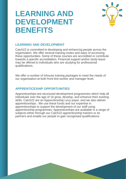### **LEARNING AND DEVELOPMENT BENEFITS**



#### **LEARNING AND DEVELOPMENT**

Catch22 is committed to developing and enhancing people across the organisation. We offer several training routes and ways of accessing these opportunities. Some of these courses are accredited or contribute towards a specific accreditation. Financial support and/or study leave may be offered to individuals who are studying for professional qualifications.

We offer a number of inhouse training packages to meet the needs of our organisation at both front-line worker and manager level.

#### **APPRENTICESHIP OPPORTUNITIES**

Apprenticeships are structured development programmes which help all individuals over the age of 16 grow, develop, and enhance their existing skills. Catch22 are an Apprenticeship Levy payer, and we also deliver apprenticeships. We use these funds and our expertise in apprenticeships to support the development of our staff using apprenticeship programmes. Apprenticeships are available in a range of subjects either through our Catch22 apprenticeship trainers or its partners and enable our people to gain recognised qualifications.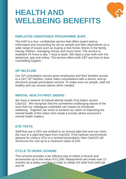## **HEALTH AND WELLBEING BENEFITS**



The EAP is a free, confidential service that offers expert advice, information and counselling for all our people and their dependents on a wide range of issues such as buying a new home, illness in the family, having children, managing money and much more. The service is available 24 hours a day, 7 days a week, 365 days a year both over the telephone, app and online. The service offers both CBT and face to face counselling support.

#### **GP HELPLINE**

Our GP consultation service gives employees and their families access to a 24/7 GP helpline, online video consultations with a doctor, and an electronic private prescription service. To make sure our people. staff are healthy and can access advice when needed.

#### **MENTAL HEALTH FIRST AIDERS**

We have a network of trained Mental Health First Aiders across Catch22. We recognise that the sometimes-challenging nature of the work that our colleagues undertake can impact on emotional wellbeing. Together, we strive to achieve our vision of improving the mental health of the nation and create a society where everyone's mental health matters.

#### **EYE TESTS**

Staff that use a VDU are entitled to an annual sight test and can claim the cost of a sight test back from Catch22. If the optician recommends glasses for using a VDU or a revised prescription, then Catch22 will reimburse the cost up to a maximum value of £50.

#### **CYCLE TO WORK SCHEME**

This scheme provides a tax efficient way to obtain a bicycle and accessories up to the value of £1,000. Repayments are made over 12 months via a salary sacrifice in order to obtain full relief from both tax and NI.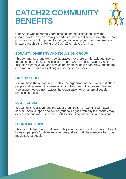## **CATCH22 COMMUNITY BENEFITS**



Catch22 is wholeheartedly committed to the principle of equality and opportunity, both as an employer and as a provider of services to others. We provide an array of opportunities for you to develop your skills and make an impact through our building one Catch22 employee forums.

#### **EQUALITY, DIVERSITY AND INCLUSION GROUP**

This community group works collaboratively to share any knowledge, news, thoughts, feelings, and discussions around what Equality, Diversity and Inclusion means to you and how as an organisation we can grow together to empower and equip our colleagues and services users.

#### **LINK UP GROUP**

You will have the opportunity to influence organisational decisions that affect people and represent the views of your colleagues in this process. You will also support others from across the organisation when a formal people process happens.

#### **LGBT+ GROUP**

You will help your team and the wider organisation on working with LGBT+ service users, support and advise your colleagues with any issues they may experience and make sure the LGBT+ voice is considered in all decisions

#### **FRONTLINE VOICE**

This group helps shape and drive policy changes at a local and national level by using people's front-line experiences and also help its members become media spokespeople